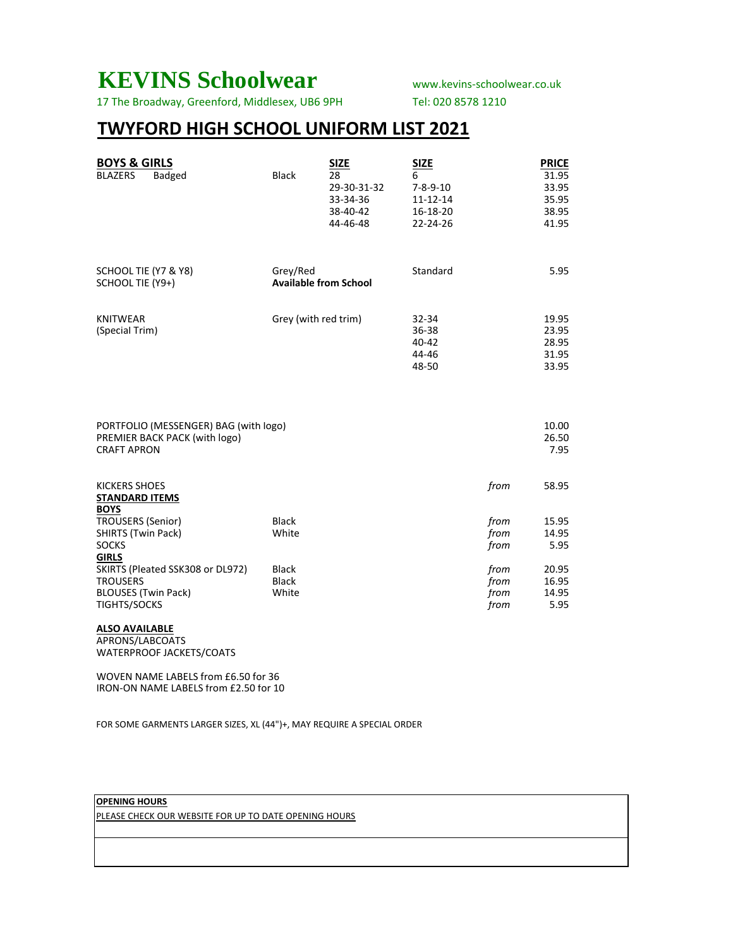## **KEVINS Schoolwear** www.kevins-schoolwear.co.uk

17 The Broadway, Greenford, Middlesex, UB6 9PH Tel: 020 8578 1210

### **TWYFORD HIGH SCHOOL UNIFORM LIST 2021**

| <b>BOYS &amp; GIRLS</b><br><b>BLAZERS</b><br>Badged                                               | <b>Black</b>                             | <b>SIZE</b><br>28<br>29-30-31-32<br>33-34-36<br>38-40-42<br>44-46-48 | <b>SIZE</b><br>6<br>$7 - 8 - 9 - 10$<br>$11 - 12 - 14$<br>16-18-20<br>22-24-26 |                              | <b>PRICE</b><br>31.95<br>33.95<br>35.95<br>38.95<br>41.95 |
|---------------------------------------------------------------------------------------------------|------------------------------------------|----------------------------------------------------------------------|--------------------------------------------------------------------------------|------------------------------|-----------------------------------------------------------|
| SCHOOL TIE (Y7 & Y8)<br>SCHOOL TIE (Y9+)                                                          | Grey/Red<br><b>Available from School</b> |                                                                      | Standard                                                                       |                              | 5.95                                                      |
| <b>KNITWEAR</b><br>(Special Trim)                                                                 | Grey (with red trim)                     |                                                                      | 32-34<br>36-38<br>40-42<br>44-46<br>48-50                                      |                              | 19.95<br>23.95<br>28.95<br>31.95<br>33.95                 |
| PORTFOLIO (MESSENGER) BAG (with logo)<br>PREMIER BACK PACK (with logo)<br><b>CRAFT APRON</b>      |                                          |                                                                      |                                                                                |                              | 10.00<br>26.50<br>7.95                                    |
| <b>KICKERS SHOES</b><br><b>STANDARD ITEMS</b><br><b>BOYS</b>                                      |                                          |                                                                      |                                                                                | from                         | 58.95                                                     |
| <b>TROUSERS (Senior)</b><br>SHIRTS (Twin Pack)<br><b>SOCKS</b><br><b>GIRLS</b>                    | <b>Black</b><br>White                    |                                                                      |                                                                                | from<br>from<br>from         | 15.95<br>14.95<br>5.95                                    |
| SKIRTS (Pleated SSK308 or DL972)<br><b>TROUSERS</b><br><b>BLOUSES (Twin Pack)</b><br>TIGHTS/SOCKS | <b>Black</b><br><b>Black</b><br>White    |                                                                      |                                                                                | from<br>from<br>from<br>from | 20.95<br>16.95<br>14.95<br>5.95                           |

**ALSO AVAILABLE**

APRONS/LABCOATS WATERPROOF JACKETS/COATS

WOVEN NAME LABELS from £6.50 for 36 IRON-ON NAME LABELS from £2.50 for 10

FOR SOME GARMENTS LARGER SIZES, XL (44")+, MAY REQUIRE A SPECIAL ORDER

#### **OPENING HOURS**

PLEASE CHECK OUR WEBSITE FOR UP TO DATE OPENING HOURS